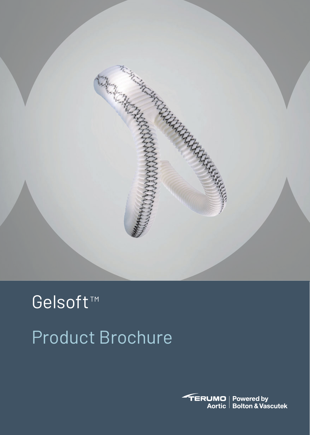

# Product Brochure Gelsoft<sup>™</sup>

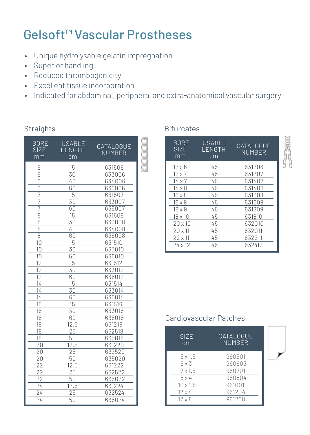## Gelsoft<sup>™</sup> Vascular Prostheses

- Unique hydrolysable gelatin impregnation
- Superior handling
- Reduced thrombogenicity
- Excellent tissue incorporation
- Indicated for abdominal, peripheral and extra-anatomical vascular surgery

## Straights **Bifurcates**

| BORE<br><b>SIZE</b><br>mm | USABLE<br>LENGTH<br>cm | CATALOGUE<br>NUMBER |  |
|---------------------------|------------------------|---------------------|--|
| 6                         | 15                     | 631506              |  |
| 6                         | 30                     | 633006              |  |
| 6                         | 40                     | 634006              |  |
| 6                         | 60                     | 636006              |  |
| 7                         | 15                     | 631507              |  |
| 7                         | 30                     | 633007              |  |
| 7                         | 60                     | 636007              |  |
| 8                         | 15                     | 631508              |  |
| 8                         | 30                     | 633008              |  |
| $\overline{8}$            | 40                     | 634008              |  |
| 8                         | 60                     | 636008              |  |
| 10                        | 15                     | 631510              |  |
| 10                        | 30                     | 633010              |  |
| 10                        | 60                     | 636010              |  |
| 12                        | 15                     | 631512              |  |
| 12                        | 30                     | 633012              |  |
| $\overline{12}$           | 60                     | 636012              |  |
| 14                        | 15                     | 631514              |  |
| 14                        | 30                     | 633014              |  |
| 14                        | 60                     | 636014              |  |
| 16                        | 15                     | 631516              |  |
| 16                        | 30                     | 633016              |  |
| 16                        | 60                     | 636016              |  |
| 18                        | 12.5                   | 631218              |  |
| 18                        | 25                     | 632518              |  |
| 18                        | 50                     | 635018              |  |
| 20                        | 12.5                   | 631220              |  |
| 20                        | 25                     | 632520              |  |
| 20                        | 50                     | 635020              |  |
| 22                        | 12.5                   | 631222              |  |
| $\overline{22}$           | 25                     | 632522              |  |
| 22                        | 50                     | 635022              |  |
| 24                        | 12.5                   | 631224              |  |
| 24                        | 25                     | 632524              |  |
| 24                        | 50                     | 635024              |  |

| <b>BORE</b><br><b>SIZE</b><br>mm | USABLE<br>LENGTH<br>cm | CATAL OGUE<br>NUMBER |
|----------------------------------|------------------------|----------------------|
| $12 \times 6$                    | 45                     | 631206               |
| $12 \times 7$                    | 45                     | 631207               |
| $14 \times 7$                    | 45                     | 631407               |
| $14 \times 8$                    | 45                     | 631408               |
| $16 \times 8$                    | 45                     | 631608               |
| $16 \times 9$                    | 45                     | 631609               |
| $18 \times 9$                    | 45                     | 631809               |
| $18 \times 10$                   | 45                     | 631810               |
| $20 \times 10$                   | 45                     | 632010               |
| $20 \times 11$                   | 45                     | 632011               |
| $22 \times 11$                   | 45                     | 632211               |
| $24 \times 12$                   | 45                     | 632412               |

## Cardiovascular Patches

| <b>SIZE</b><br>cm | CATALOGUE<br><b>NUMBER</b> |  |
|-------------------|----------------------------|--|
| $5 \times 1.5$    | 960501                     |  |
| $6 \times 3$      | 960603                     |  |
| $7 \times 1.5$    | 960701                     |  |
| $8 \times 4$      | 960804                     |  |
| $10 \times 1.5$   | 961001                     |  |
| $12 \times 4$     | 961204                     |  |
| $12 \times 8$     | 961208                     |  |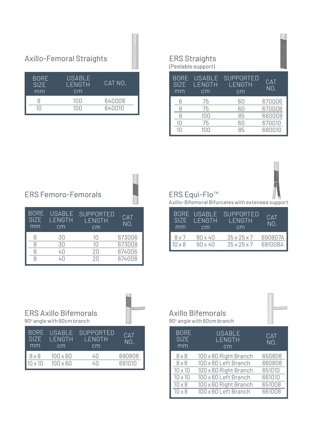# Axillo-Femoral Straights ERS Straights (Peelable support)

| <b>BORE</b><br>SI <sub>7</sub> F<br>mm | USABLE<br>LENGTH<br>cm | CAT NO. |
|----------------------------------------|------------------------|---------|
|                                        | 100                    | 640008  |
| 10                                     | 100                    | 640010  |

|                            | .                             |                                  |                   |
|----------------------------|-------------------------------|----------------------------------|-------------------|
| <b>BORE</b><br>SIZE.<br>mm | <b>USABLE</b><br>LENGTH<br>cm | <b>SUPPORTED</b><br>LENGTH<br>cm | <b>CAT</b><br>NO. |
|                            | 75                            | 60                               | 670006            |
|                            | 75                            | 60                               | 670008            |
|                            | 100                           | 85                               | 680008            |
| 10                         | 75                            | 60                               | 670010            |
| 10                         | 100                           | 85                               | 680010            |



**ANG ANG PANGHANG ANG PANGHANG ANG PANGHANG ANG PANGHANG ANG PANGHANG ANG PANGHANG ANG PANGHANG ANG PANGHANG AN** 

## ERS Equi-Flo<sup>™</sup>

ì Axillo-Bifemoral Bifurcates with extended support

| SI <sub>7</sub> F<br>mm | BORE USABLE<br>LENGTH<br>cm | SUPPORTED<br>LENGTH<br>cm | CAT<br>N <sub>O</sub> |
|-------------------------|-----------------------------|---------------------------|-----------------------|
| $8 \times 7$            | $90 \times 40$              | $35 \times 25 \times 7$   | 690807A               |
| $10 \times 8$           | $90 \times 40$              | $35 \times 25 \times 7$   | 691008A               |

## ERS Axillo Bifemorals

 USABLE LENGTH cm

ERS Femoro-Femorals

 BORE SIZE mm

i 90° angle with 60cm branch

| <b>BORE</b><br><b>SIZE</b><br>mm | <b>USABLE</b><br>LENGTH<br>cm | SUPPORTED<br>LENGTH<br>cm | CAT<br>$N()$ . |
|----------------------------------|-------------------------------|---------------------------|----------------|
| $8 \times 8$                     | $100 \times 60$               | 40                        | 690808         |
| $10 \times 10$                   | $100 \times 60$               | 4Π                        | 691010         |

6 30 10 673006<br>8 30 10 673008

 SUPPORTED LENGTH cm

6 40 20 674006

673008

CAT NO.

L

**Milliani** 

 $\overline{a}$ 

674008

## Axillo Bifemorals

90° angle with 60cm branch

| 90° angle with 60cm branch       |                               |                   |
|----------------------------------|-------------------------------|-------------------|
| <b>BORE</b><br><b>SIZE</b><br>mm | <b>USABLE</b><br>LENGTH<br>cm | <b>CAT</b><br>NO. |
| $8 \times 8$                     | 100 x 60 Right Branch         | 650808            |
| $8 \times 8$                     | 100 x 60 Left Branch          | 660808            |
| $10 \times 10$                   | 100 x 60 Right Branch         | 651010            |
| $10 \times 10$                   | 100 x 60 Left Branch          | 661010            |
| $10 \times 8$                    | 100 x 60 Right Branch         | 651008            |
| $10 \times 8$                    | 100 x 60 Left Branch          | 661008            |